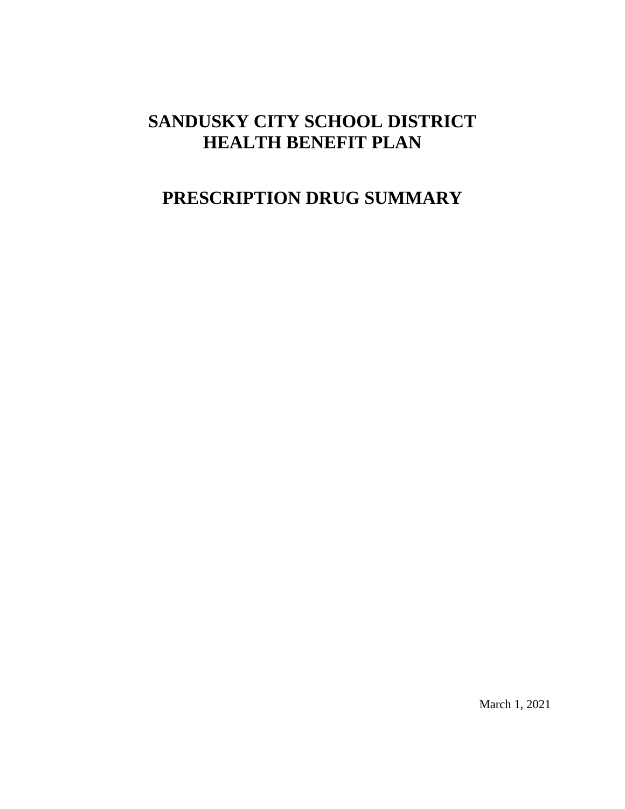# **SANDUSKY CITY SCHOOL DISTRICT HEALTH BENEFIT PLAN**

# **PRESCRIPTION DRUG SUMMARY**

March 1, 2021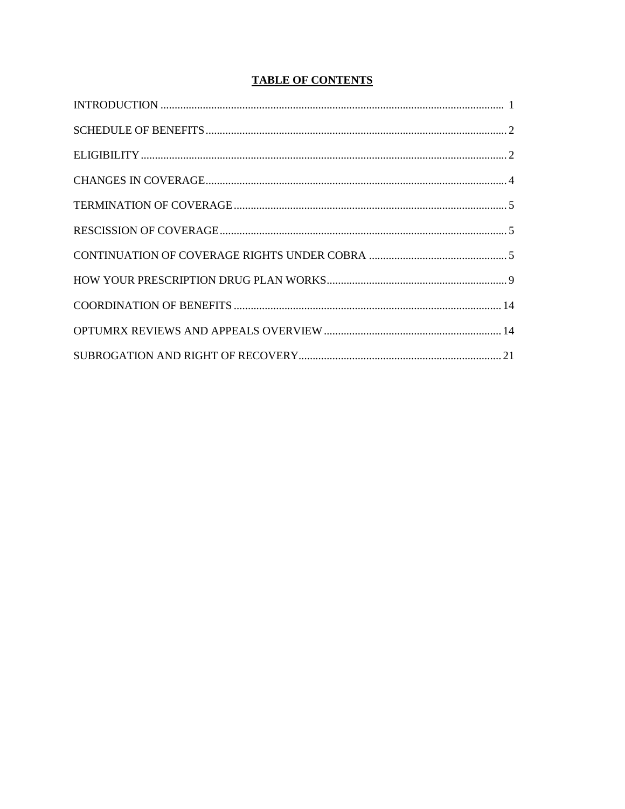# **TABLE OF CONTENTS**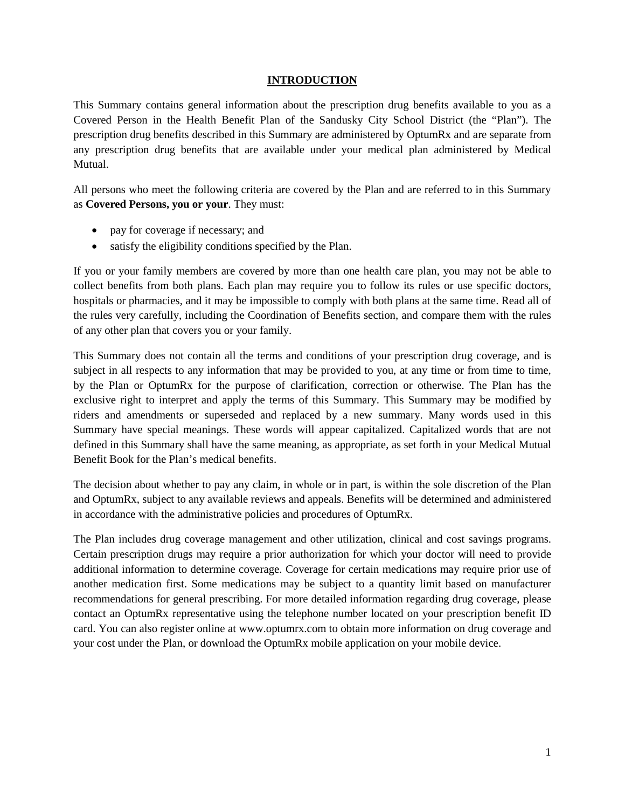#### **INTRODUCTION**

This Summary contains general information about the prescription drug benefits available to you as a Covered Person in the Health Benefit Plan of the Sandusky City School District (the "Plan"). The prescription drug benefits described in this Summary are administered by OptumRx and are separate from any prescription drug benefits that are available under your medical plan administered by Medical Mutual.

All persons who meet the following criteria are covered by the Plan and are referred to in this Summary as **Covered Persons, you or your**. They must:

- pay for coverage if necessary; and
- satisfy the eligibility conditions specified by the Plan.

If you or your family members are covered by more than one health care plan, you may not be able to collect benefits from both plans. Each plan may require you to follow its rules or use specific doctors, hospitals or pharmacies, and it may be impossible to comply with both plans at the same time. Read all of the rules very carefully, including the Coordination of Benefits section, and compare them with the rules of any other plan that covers you or your family.

This Summary does not contain all the terms and conditions of your prescription drug coverage, and is subject in all respects to any information that may be provided to you, at any time or from time to time, by the Plan or OptumRx for the purpose of clarification, correction or otherwise. The Plan has the exclusive right to interpret and apply the terms of this Summary. This Summary may be modified by riders and amendments or superseded and replaced by a new summary. Many words used in this Summary have special meanings. These words will appear capitalized. Capitalized words that are not defined in this Summary shall have the same meaning, as appropriate, as set forth in your Medical Mutual Benefit Book for the Plan's medical benefits.

The decision about whether to pay any claim, in whole or in part, is within the sole discretion of the Plan and OptumRx, subject to any available reviews and appeals. Benefits will be determined and administered in accordance with the administrative policies and procedures of OptumRx.

The Plan includes drug coverage management and other utilization, clinical and cost savings programs. Certain prescription drugs may require a prior authorization for which your doctor will need to provide additional information to determine coverage. Coverage for certain medications may require prior use of another medication first. Some medications may be subject to a quantity limit based on manufacturer recommendations for general prescribing. For more detailed information regarding drug coverage, please contact an OptumRx representative using the telephone number located on your prescription benefit ID card. You can also register online at www.optumrx.com to obtain more information on drug coverage and your cost under the Plan, or download the OptumRx mobile application on your mobile device.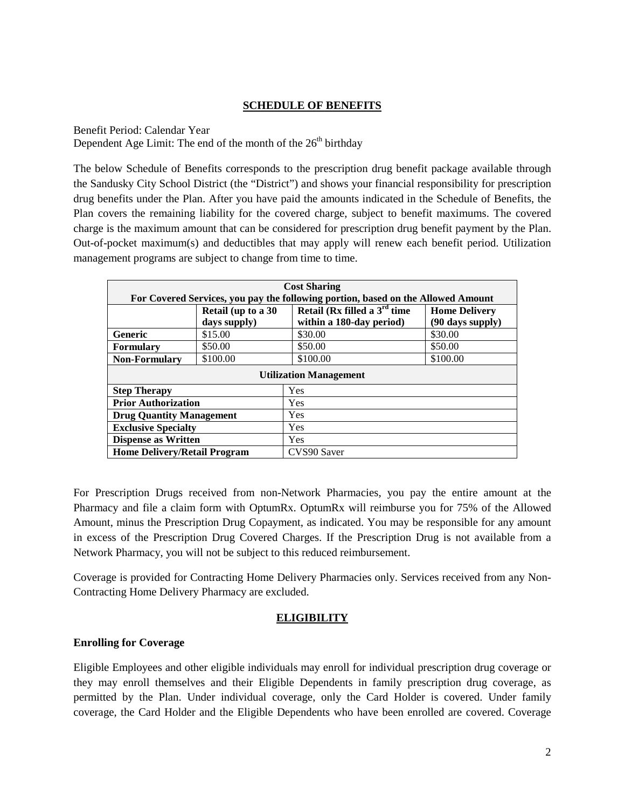# **SCHEDULE OF BENEFITS**

Benefit Period: Calendar Year

Dependent Age Limit: The end of the month of the 26<sup>th</sup> birthday

The below Schedule of Benefits corresponds to the prescription drug benefit package available through the Sandusky City School District (the "District") and shows your financial responsibility for prescription drug benefits under the Plan. After you have paid the amounts indicated in the Schedule of Benefits, the Plan covers the remaining liability for the covered charge, subject to benefit maximums. The covered charge is the maximum amount that can be considered for prescription drug benefit payment by the Plan. Out-of-pocket maximum(s) and deductibles that may apply will renew each benefit period. Utilization management programs are subject to change from time to time.

| <b>Cost Sharing</b>                                                              |                    |                                   |                      |  |  |
|----------------------------------------------------------------------------------|--------------------|-----------------------------------|----------------------|--|--|
| For Covered Services, you pay the following portion, based on the Allowed Amount |                    |                                   |                      |  |  |
|                                                                                  | Retail (up to a 30 | Retail ( $Rx$ filled a $3rd$ time | <b>Home Delivery</b> |  |  |
|                                                                                  | days supply)       | within a 180-day period)          | (90 days supply)     |  |  |
| <b>Generic</b>                                                                   | \$15.00            | \$30.00                           | \$30.00              |  |  |
| <b>Formulary</b>                                                                 | \$50.00            | \$50.00                           | \$50.00              |  |  |
| <b>Non-Formulary</b>                                                             | \$100.00           | \$100.00                          | \$100.00             |  |  |
| <b>Utilization Management</b>                                                    |                    |                                   |                      |  |  |
| <b>Step Therapy</b>                                                              |                    | Yes                               |                      |  |  |
| <b>Prior Authorization</b>                                                       |                    | <b>Yes</b>                        |                      |  |  |
| <b>Drug Quantity Management</b>                                                  |                    | <b>Yes</b>                        |                      |  |  |
| <b>Exclusive Specialty</b>                                                       |                    | Yes                               |                      |  |  |
| <b>Dispense as Written</b>                                                       |                    | <b>Yes</b>                        |                      |  |  |
| <b>Home Delivery/Retail Program</b>                                              |                    | CVS90 Saver                       |                      |  |  |

For Prescription Drugs received from non-Network Pharmacies, you pay the entire amount at the Pharmacy and file a claim form with OptumRx. OptumRx will reimburse you for 75% of the Allowed Amount, minus the Prescription Drug Copayment, as indicated. You may be responsible for any amount in excess of the Prescription Drug Covered Charges. If the Prescription Drug is not available from a Network Pharmacy, you will not be subject to this reduced reimbursement.

Coverage is provided for Contracting Home Delivery Pharmacies only. Services received from any Non-Contracting Home Delivery Pharmacy are excluded.

# **ELIGIBILITY**

# **Enrolling for Coverage**

Eligible Employees and other eligible individuals may enroll for individual prescription drug coverage or they may enroll themselves and their Eligible Dependents in family prescription drug coverage, as permitted by the Plan. Under individual coverage, only the Card Holder is covered. Under family coverage, the Card Holder and the Eligible Dependents who have been enrolled are covered. Coverage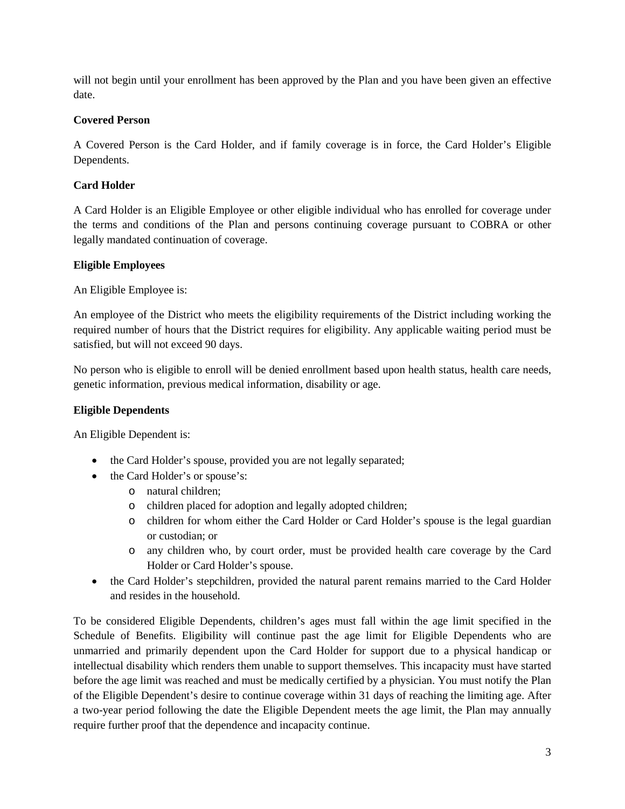will not begin until your enrollment has been approved by the Plan and you have been given an effective date.

# **Covered Person**

A Covered Person is the Card Holder, and if family coverage is in force, the Card Holder's Eligible Dependents.

# **Card Holder**

A Card Holder is an Eligible Employee or other eligible individual who has enrolled for coverage under the terms and conditions of the Plan and persons continuing coverage pursuant to COBRA or other legally mandated continuation of coverage.

# **Eligible Employees**

An Eligible Employee is:

An employee of the District who meets the eligibility requirements of the District including working the required number of hours that the District requires for eligibility. Any applicable waiting period must be satisfied, but will not exceed 90 days.

No person who is eligible to enroll will be denied enrollment based upon health status, health care needs, genetic information, previous medical information, disability or age.

# **Eligible Dependents**

An Eligible Dependent is:

- the Card Holder's spouse, provided you are not legally separated;
- the Card Holder's or spouse's:
	- o natural children;
	- o children placed for adoption and legally adopted children;
	- o children for whom either the Card Holder or Card Holder's spouse is the legal guardian or custodian; or
	- o any children who, by court order, must be provided health care coverage by the Card Holder or Card Holder's spouse.
- the Card Holder's stepchildren, provided the natural parent remains married to the Card Holder and resides in the household.

To be considered Eligible Dependents, children's ages must fall within the age limit specified in the Schedule of Benefits. Eligibility will continue past the age limit for Eligible Dependents who are unmarried and primarily dependent upon the Card Holder for support due to a physical handicap or intellectual disability which renders them unable to support themselves. This incapacity must have started before the age limit was reached and must be medically certified by a physician. You must notify the Plan of the Eligible Dependent's desire to continue coverage within 31 days of reaching the limiting age. After a two-year period following the date the Eligible Dependent meets the age limit, the Plan may annually require further proof that the dependence and incapacity continue.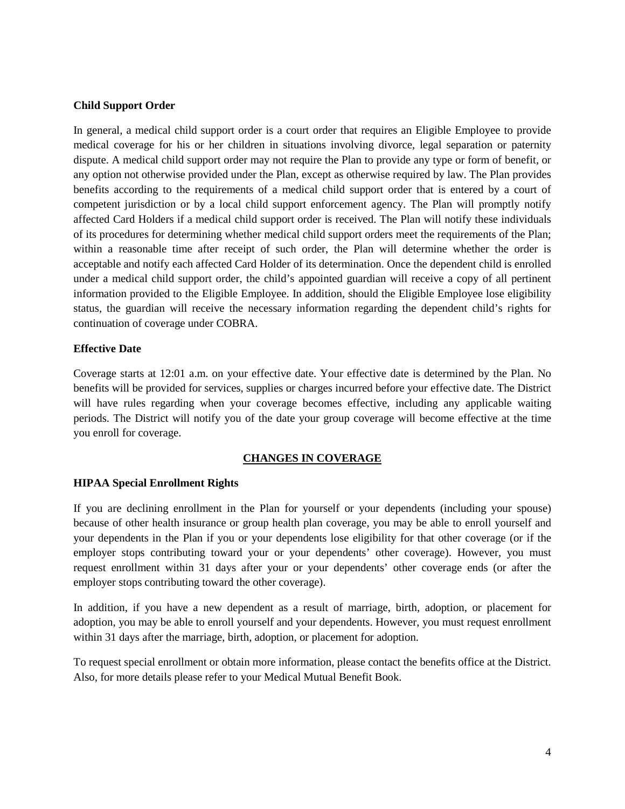## **Child Support Order**

In general, a medical child support order is a court order that requires an Eligible Employee to provide medical coverage for his or her children in situations involving divorce, legal separation or paternity dispute. A medical child support order may not require the Plan to provide any type or form of benefit, or any option not otherwise provided under the Plan, except as otherwise required by law. The Plan provides benefits according to the requirements of a medical child support order that is entered by a court of competent jurisdiction or by a local child support enforcement agency. The Plan will promptly notify affected Card Holders if a medical child support order is received. The Plan will notify these individuals of its procedures for determining whether medical child support orders meet the requirements of the Plan; within a reasonable time after receipt of such order, the Plan will determine whether the order is acceptable and notify each affected Card Holder of its determination. Once the dependent child is enrolled under a medical child support order, the child's appointed guardian will receive a copy of all pertinent information provided to the Eligible Employee. In addition, should the Eligible Employee lose eligibility status, the guardian will receive the necessary information regarding the dependent child's rights for continuation of coverage under COBRA.

# **Effective Date**

Coverage starts at 12:01 a.m. on your effective date. Your effective date is determined by the Plan. No benefits will be provided for services, supplies or charges incurred before your effective date. The District will have rules regarding when your coverage becomes effective, including any applicable waiting periods. The District will notify you of the date your group coverage will become effective at the time you enroll for coverage.

# **CHANGES IN COVERAGE**

## **HIPAA Special Enrollment Rights**

If you are declining enrollment in the Plan for yourself or your dependents (including your spouse) because of other health insurance or group health plan coverage, you may be able to enroll yourself and your dependents in the Plan if you or your dependents lose eligibility for that other coverage (or if the employer stops contributing toward your or your dependents' other coverage). However, you must request enrollment within 31 days after your or your dependents' other coverage ends (or after the employer stops contributing toward the other coverage).

In addition, if you have a new dependent as a result of marriage, birth, adoption, or placement for adoption, you may be able to enroll yourself and your dependents. However, you must request enrollment within 31 days after the marriage, birth, adoption, or placement for adoption.

To request special enrollment or obtain more information, please contact the benefits office at the District. Also, for more details please refer to your Medical Mutual Benefit Book.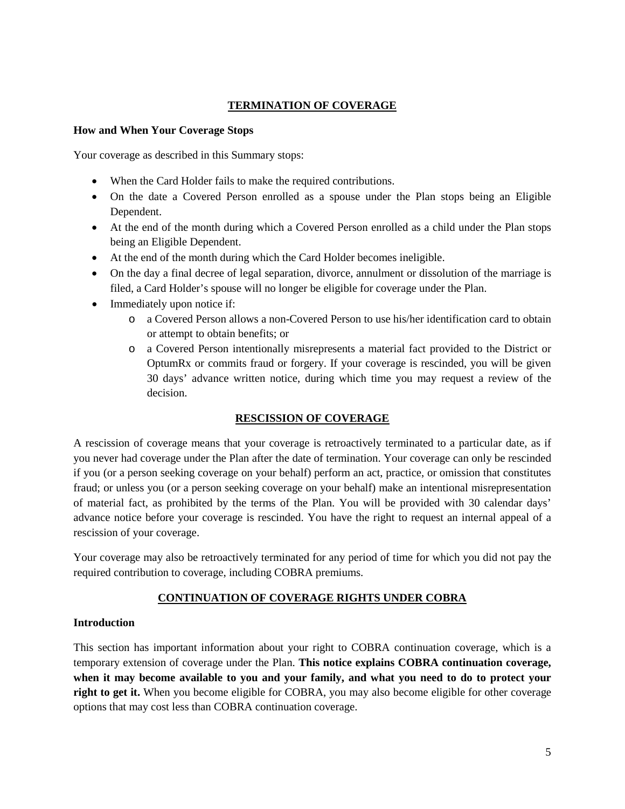# **TERMINATION OF COVERAGE**

## **How and When Your Coverage Stops**

Your coverage as described in this Summary stops:

- When the Card Holder fails to make the required contributions.
- On the date a Covered Person enrolled as a spouse under the Plan stops being an Eligible Dependent.
- At the end of the month during which a Covered Person enrolled as a child under the Plan stops being an Eligible Dependent.
- At the end of the month during which the Card Holder becomes ineligible.
- On the day a final decree of legal separation, divorce, annulment or dissolution of the marriage is filed, a Card Holder's spouse will no longer be eligible for coverage under the Plan.
- Immediately upon notice if:
	- o a Covered Person allows a non-Covered Person to use his/her identification card to obtain or attempt to obtain benefits; or
	- o a Covered Person intentionally misrepresents a material fact provided to the District or OptumRx or commits fraud or forgery. If your coverage is rescinded, you will be given 30 days' advance written notice, during which time you may request a review of the decision.

# **RESCISSION OF COVERAGE**

A rescission of coverage means that your coverage is retroactively terminated to a particular date, as if you never had coverage under the Plan after the date of termination. Your coverage can only be rescinded if you (or a person seeking coverage on your behalf) perform an act, practice, or omission that constitutes fraud; or unless you (or a person seeking coverage on your behalf) make an intentional misrepresentation of material fact, as prohibited by the terms of the Plan. You will be provided with 30 calendar days' advance notice before your coverage is rescinded. You have the right to request an internal appeal of a rescission of your coverage.

Your coverage may also be retroactively terminated for any period of time for which you did not pay the required contribution to coverage, including COBRA premiums.

# **CONTINUATION OF COVERAGE RIGHTS UNDER COBRA**

# **Introduction**

This section has important information about your right to COBRA continuation coverage, which is a temporary extension of coverage under the Plan. **This notice explains COBRA continuation coverage, when it may become available to you and your family, and what you need to do to protect your right to get it.** When you become eligible for COBRA, you may also become eligible for other coverage options that may cost less than COBRA continuation coverage.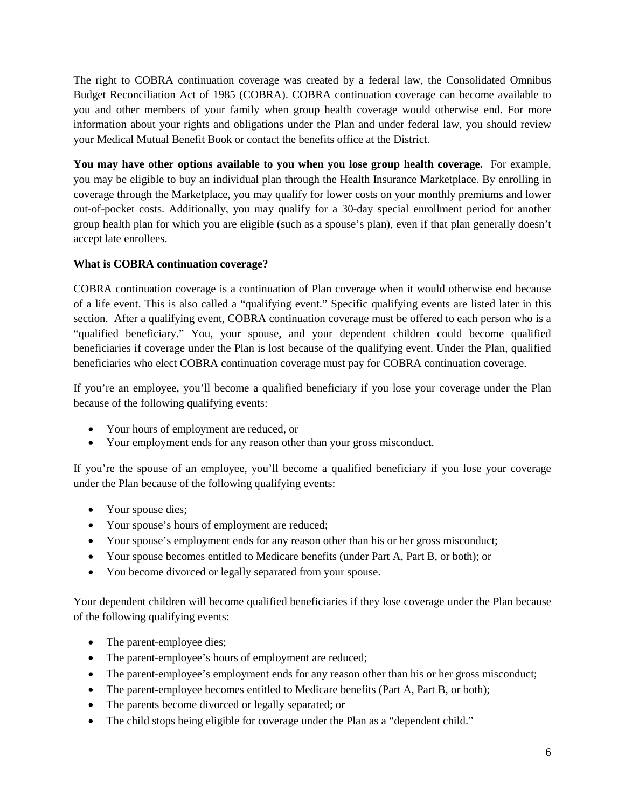The right to COBRA continuation coverage was created by a federal law, the Consolidated Omnibus Budget Reconciliation Act of 1985 (COBRA). COBRA continuation coverage can become available to you and other members of your family when group health coverage would otherwise end. For more information about your rights and obligations under the Plan and under federal law, you should review your Medical Mutual Benefit Book or contact the benefits office at the District.

**You may have other options available to you when you lose group health coverage.** For example, you may be eligible to buy an individual plan through the Health Insurance Marketplace. By enrolling in coverage through the Marketplace, you may qualify for lower costs on your monthly premiums and lower out-of-pocket costs. Additionally, you may qualify for a 30-day special enrollment period for another group health plan for which you are eligible (such as a spouse's plan), even if that plan generally doesn't accept late enrollees.

# **What is COBRA continuation coverage?**

COBRA continuation coverage is a continuation of Plan coverage when it would otherwise end because of a life event. This is also called a "qualifying event." Specific qualifying events are listed later in this section. After a qualifying event, COBRA continuation coverage must be offered to each person who is a "qualified beneficiary." You, your spouse, and your dependent children could become qualified beneficiaries if coverage under the Plan is lost because of the qualifying event. Under the Plan, qualified beneficiaries who elect COBRA continuation coverage must pay for COBRA continuation coverage.

If you're an employee, you'll become a qualified beneficiary if you lose your coverage under the Plan because of the following qualifying events:

- Your hours of employment are reduced, or
- Your employment ends for any reason other than your gross misconduct.

If you're the spouse of an employee, you'll become a qualified beneficiary if you lose your coverage under the Plan because of the following qualifying events:

- Your spouse dies;
- Your spouse's hours of employment are reduced;
- Your spouse's employment ends for any reason other than his or her gross misconduct;
- Your spouse becomes entitled to Medicare benefits (under Part A, Part B, or both); or
- You become divorced or legally separated from your spouse.

Your dependent children will become qualified beneficiaries if they lose coverage under the Plan because of the following qualifying events:

- The parent-employee dies;
- The parent-employee's hours of employment are reduced;
- The parent-employee's employment ends for any reason other than his or her gross misconduct;
- The parent-employee becomes entitled to Medicare benefits (Part A, Part B, or both);
- The parents become divorced or legally separated; or
- The child stops being eligible for coverage under the Plan as a "dependent child."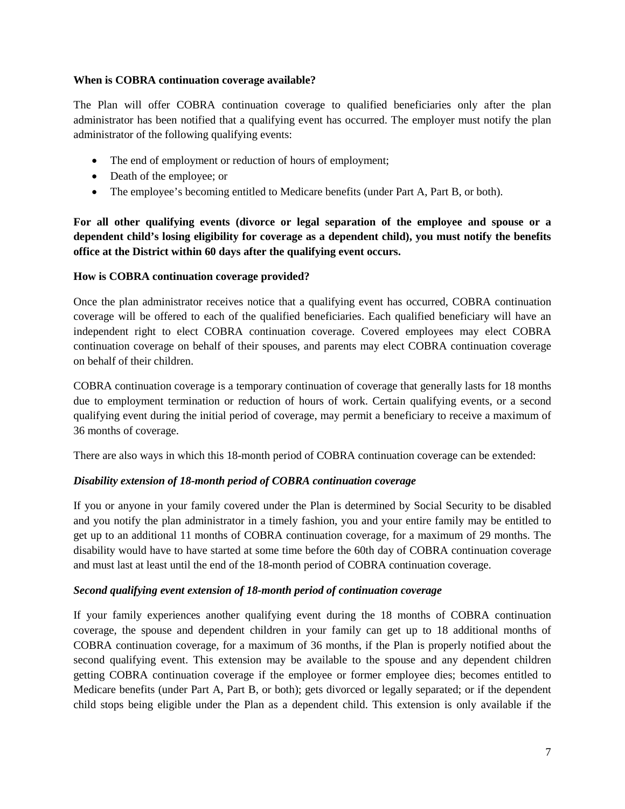## **When is COBRA continuation coverage available?**

The Plan will offer COBRA continuation coverage to qualified beneficiaries only after the plan administrator has been notified that a qualifying event has occurred. The employer must notify the plan administrator of the following qualifying events:

- The end of employment or reduction of hours of employment;
- Death of the employee; or
- The employee's becoming entitled to Medicare benefits (under Part A, Part B, or both).

**For all other qualifying events (divorce or legal separation of the employee and spouse or a dependent child's losing eligibility for coverage as a dependent child), you must notify the benefits office at the District within 60 days after the qualifying event occurs.**

# **How is COBRA continuation coverage provided?**

Once the plan administrator receives notice that a qualifying event has occurred, COBRA continuation coverage will be offered to each of the qualified beneficiaries. Each qualified beneficiary will have an independent right to elect COBRA continuation coverage. Covered employees may elect COBRA continuation coverage on behalf of their spouses, and parents may elect COBRA continuation coverage on behalf of their children.

COBRA continuation coverage is a temporary continuation of coverage that generally lasts for 18 months due to employment termination or reduction of hours of work. Certain qualifying events, or a second qualifying event during the initial period of coverage, may permit a beneficiary to receive a maximum of 36 months of coverage.

There are also ways in which this 18-month period of COBRA continuation coverage can be extended:

# *Disability extension of 18-month period of COBRA continuation coverage*

If you or anyone in your family covered under the Plan is determined by Social Security to be disabled and you notify the plan administrator in a timely fashion, you and your entire family may be entitled to get up to an additional 11 months of COBRA continuation coverage, for a maximum of 29 months. The disability would have to have started at some time before the 60th day of COBRA continuation coverage and must last at least until the end of the 18-month period of COBRA continuation coverage.

# *Second qualifying event extension of 18-month period of continuation coverage*

If your family experiences another qualifying event during the 18 months of COBRA continuation coverage, the spouse and dependent children in your family can get up to 18 additional months of COBRA continuation coverage, for a maximum of 36 months, if the Plan is properly notified about the second qualifying event. This extension may be available to the spouse and any dependent children getting COBRA continuation coverage if the employee or former employee dies; becomes entitled to Medicare benefits (under Part A, Part B, or both); gets divorced or legally separated; or if the dependent child stops being eligible under the Plan as a dependent child. This extension is only available if the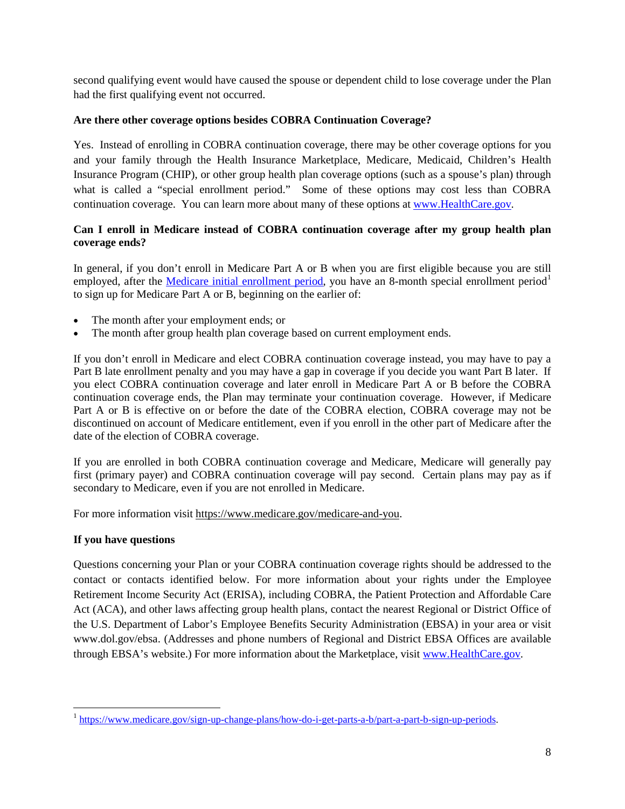second qualifying event would have caused the spouse or dependent child to lose coverage under the Plan had the first qualifying event not occurred.

# **Are there other coverage options besides COBRA Continuation Coverage?**

Yes. Instead of enrolling in COBRA continuation coverage, there may be other coverage options for you and your family through the Health Insurance Marketplace, Medicare, Medicaid, Children's Health Insurance Program (CHIP), or other group health plan coverage options (such as a spouse's plan) through what is called a "special enrollment period." Some of these options may cost less than COBRA continuation coverage. You can learn more about many of these options at [www.HealthCare.gov.](http://www.healthcare.gov/)

# **Can I enroll in Medicare instead of COBRA continuation coverage after my group health plan coverage ends?**

In general, if you don't enroll in Medicare Part A or B when you are first eligible because you are still employed, after the [Medicare initial enrollment period,](https://www.medicare.gov/sign-up-change-plans/how-do-i-get-parts-a-b/part-a-part-b-sign-up-periods) you have an 8-month special enrollment period<sup>[1](#page-9-0)</sup> to sign up for Medicare Part A or B, beginning on the earlier of:

- The month after your employment ends; or
- The month after group health plan coverage based on current employment ends.

If you don't enroll in Medicare and elect COBRA continuation coverage instead, you may have to pay a Part B late enrollment penalty and you may have a gap in coverage if you decide you want Part B later. If you elect COBRA continuation coverage and later enroll in Medicare Part A or B before the COBRA continuation coverage ends, the Plan may terminate your continuation coverage. However, if Medicare Part A or B is effective on or before the date of the COBRA election, COBRA coverage may not be discontinued on account of Medicare entitlement, even if you enroll in the other part of Medicare after the date of the election of COBRA coverage.

If you are enrolled in both COBRA continuation coverage and Medicare, Medicare will generally pay first (primary payer) and COBRA continuation coverage will pay second. Certain plans may pay as if secondary to Medicare, even if you are not enrolled in Medicare.

For more information visit [https://www.medicare.gov/medicare-and-you.](https://www.medicare.gov/medicare-and-you)

## **If you have questions**

l

Questions concerning your Plan or your COBRA continuation coverage rights should be addressed to the contact or contacts identified below. For more information about your rights under the Employee Retirement Income Security Act (ERISA), including COBRA, the Patient Protection and Affordable Care Act (ACA), and other laws affecting group health plans, contact the nearest Regional or District Office of the U.S. Department of Labor's Employee Benefits Security Administration (EBSA) in your area or visit www.dol.gov/ebsa. (Addresses and phone numbers of Regional and District EBSA Offices are available through EBSA's website.) For more information about the Marketplace, visit [www.HealthCare.gov.](http://www.healthcare.gov/)

<span id="page-9-0"></span><sup>1</sup> [https://www.medicare.gov/sign-up-change-plans/how-do-i-get-parts-a-b/part-a-part-b-sign-up-periods.](https://www.medicare.gov/sign-up-change-plans/how-do-i-get-parts-a-b/part-a-part-b-sign-up-periods)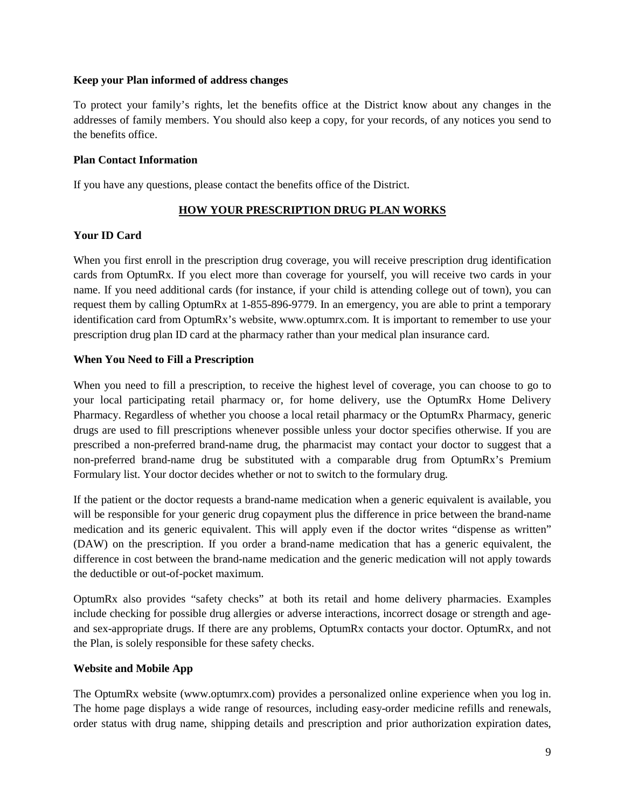## **Keep your Plan informed of address changes**

To protect your family's rights, let the benefits office at the District know about any changes in the addresses of family members. You should also keep a copy, for your records, of any notices you send to the benefits office.

#### **Plan Contact Information**

If you have any questions, please contact the benefits office of the District.

# **HOW YOUR PRESCRIPTION DRUG PLAN WORKS**

## **Your ID Card**

When you first enroll in the prescription drug coverage, you will receive prescription drug identification cards from OptumRx. If you elect more than coverage for yourself, you will receive two cards in your name. If you need additional cards (for instance, if your child is attending college out of town), you can request them by calling OptumRx at 1-855-896-9779. In an emergency, you are able to print a temporary identification card from OptumRx's website, www.optumrx.com. It is important to remember to use your prescription drug plan ID card at the pharmacy rather than your medical plan insurance card.

## **When You Need to Fill a Prescription**

When you need to fill a prescription, to receive the highest level of coverage, you can choose to go to your local participating retail pharmacy or, for home delivery, use the OptumRx Home Delivery Pharmacy. Regardless of whether you choose a local retail pharmacy or the OptumRx Pharmacy, generic drugs are used to fill prescriptions whenever possible unless your doctor specifies otherwise. If you are prescribed a non-preferred brand-name drug, the pharmacist may contact your doctor to suggest that a non-preferred brand-name drug be substituted with a comparable drug from OptumRx's Premium Formulary list. Your doctor decides whether or not to switch to the formulary drug.

If the patient or the doctor requests a brand-name medication when a generic equivalent is available, you will be responsible for your generic drug copayment plus the difference in price between the brand-name medication and its generic equivalent. This will apply even if the doctor writes "dispense as written" (DAW) on the prescription. If you order a brand-name medication that has a generic equivalent, the difference in cost between the brand-name medication and the generic medication will not apply towards the deductible or out-of-pocket maximum.

OptumRx also provides "safety checks" at both its retail and home delivery pharmacies. Examples include checking for possible drug allergies or adverse interactions, incorrect dosage or strength and ageand sex-appropriate drugs. If there are any problems, OptumRx contacts your doctor. OptumRx, and not the Plan, is solely responsible for these safety checks.

## **Website and Mobile App**

The OptumRx website (www.optumrx.com) provides a personalized online experience when you log in. The home page displays a wide range of resources, including easy-order medicine refills and renewals, order status with drug name, shipping details and prescription and prior authorization expiration dates,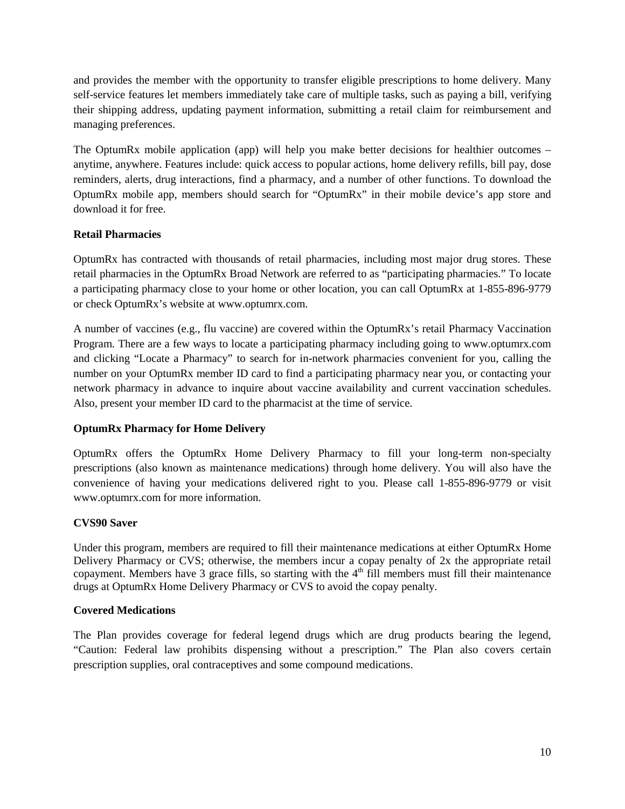and provides the member with the opportunity to transfer eligible prescriptions to home delivery. Many self-service features let members immediately take care of multiple tasks, such as paying a bill, verifying their shipping address, updating payment information, submitting a retail claim for reimbursement and managing preferences.

The OptumRx mobile application (app) will help you make better decisions for healthier outcomes – anytime, anywhere. Features include: quick access to popular actions, home delivery refills, bill pay, dose reminders, alerts, drug interactions, find a pharmacy, and a number of other functions. To download the OptumRx mobile app, members should search for "OptumRx" in their mobile device's app store and download it for free.

# **Retail Pharmacies**

OptumRx has contracted with thousands of retail pharmacies, including most major drug stores. These retail pharmacies in the OptumRx Broad Network are referred to as "participating pharmacies." To locate a participating pharmacy close to your home or other location, you can call OptumRx at 1-855-896-9779 or check OptumRx's website at www.optumrx.com.

A number of vaccines (e.g., flu vaccine) are covered within the OptumRx's retail Pharmacy Vaccination Program. There are a few ways to locate a participating pharmacy including going to www.optumrx.com and clicking "Locate a Pharmacy" to search for in-network pharmacies convenient for you, calling the number on your OptumRx member ID card to find a participating pharmacy near you, or contacting your network pharmacy in advance to inquire about vaccine availability and current vaccination schedules. Also, present your member ID card to the pharmacist at the time of service.

## **OptumRx Pharmacy for Home Delivery**

OptumRx offers the OptumRx Home Delivery Pharmacy to fill your long-term non-specialty prescriptions (also known as maintenance medications) through home delivery. You will also have the convenience of having your medications delivered right to you. Please call 1-855-896-9779 or visit www.optumrx.com for more information.

## **CVS90 Saver**

Under this program, members are required to fill their maintenance medications at either OptumRx Home Delivery Pharmacy or CVS; otherwise, the members incur a copay penalty of 2x the appropriate retail copayment. Members have 3 grace fills, so starting with the  $4<sup>th</sup>$  fill members must fill their maintenance drugs at OptumRx Home Delivery Pharmacy or CVS to avoid the copay penalty.

## **Covered Medications**

The Plan provides coverage for federal legend drugs which are drug products bearing the legend, "Caution: Federal law prohibits dispensing without a prescription." The Plan also covers certain prescription supplies, oral contraceptives and some compound medications.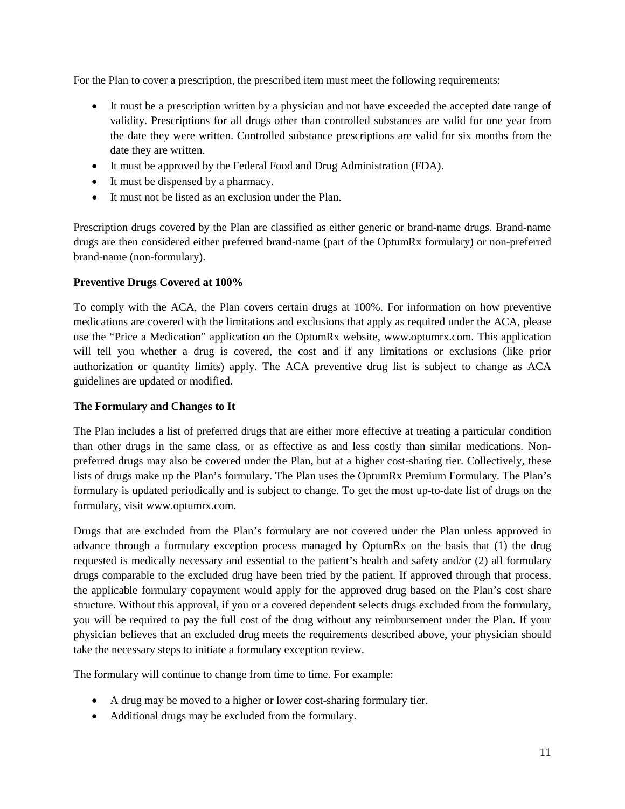For the Plan to cover a prescription, the prescribed item must meet the following requirements:

- It must be a prescription written by a physician and not have exceeded the accepted date range of validity. Prescriptions for all drugs other than controlled substances are valid for one year from the date they were written. Controlled substance prescriptions are valid for six months from the date they are written.
- It must be approved by the Federal Food and Drug Administration (FDA).
- It must be dispensed by a pharmacy.
- It must not be listed as an exclusion under the Plan.

Prescription drugs covered by the Plan are classified as either generic or brand-name drugs. Brand-name drugs are then considered either preferred brand-name (part of the OptumRx formulary) or non-preferred brand-name (non-formulary).

# **Preventive Drugs Covered at 100%**

To comply with the ACA, the Plan covers certain drugs at 100%. For information on how preventive medications are covered with the limitations and exclusions that apply as required under the ACA, please use the "Price a Medication" application on the OptumRx website, www.optumrx.com. This application will tell you whether a drug is covered, the cost and if any limitations or exclusions (like prior authorization or quantity limits) apply. The ACA preventive drug list is subject to change as ACA guidelines are updated or modified.

## **The Formulary and Changes to It**

The Plan includes a list of preferred drugs that are either more effective at treating a particular condition than other drugs in the same class, or as effective as and less costly than similar medications. Nonpreferred drugs may also be covered under the Plan, but at a higher cost-sharing tier. Collectively, these lists of drugs make up the Plan's formulary. The Plan uses the OptumRx Premium Formulary. The Plan's formulary is updated periodically and is subject to change. To get the most up-to-date list of drugs on the formulary, visit www.optumrx.com.

Drugs that are excluded from the Plan's formulary are not covered under the Plan unless approved in advance through a formulary exception process managed by OptumRx on the basis that (1) the drug requested is medically necessary and essential to the patient's health and safety and/or (2) all formulary drugs comparable to the excluded drug have been tried by the patient. If approved through that process, the applicable formulary copayment would apply for the approved drug based on the Plan's cost share structure. Without this approval, if you or a covered dependent selects drugs excluded from the formulary, you will be required to pay the full cost of the drug without any reimbursement under the Plan. If your physician believes that an excluded drug meets the requirements described above, your physician should take the necessary steps to initiate a formulary exception review.

The formulary will continue to change from time to time. For example:

- A drug may be moved to a higher or lower cost-sharing formulary tier.
- Additional drugs may be excluded from the formulary.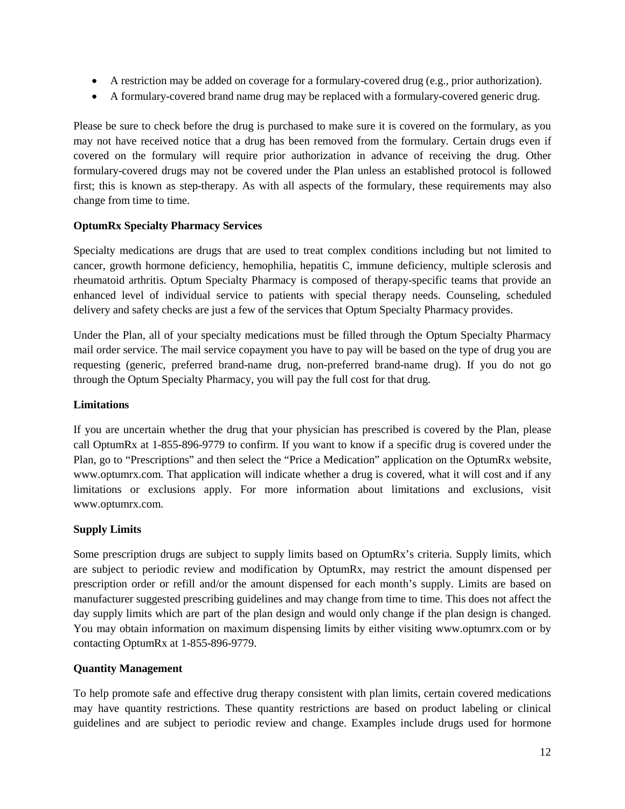- A restriction may be added on coverage for a formulary-covered drug (e.g., prior authorization).
- A formulary-covered brand name drug may be replaced with a formulary-covered generic drug.

Please be sure to check before the drug is purchased to make sure it is covered on the formulary, as you may not have received notice that a drug has been removed from the formulary. Certain drugs even if covered on the formulary will require prior authorization in advance of receiving the drug. Other formulary-covered drugs may not be covered under the Plan unless an established protocol is followed first; this is known as step-therapy. As with all aspects of the formulary, these requirements may also change from time to time.

## **OptumRx Specialty Pharmacy Services**

Specialty medications are drugs that are used to treat complex conditions including but not limited to cancer, growth hormone deficiency, hemophilia, hepatitis C, immune deficiency, multiple sclerosis and rheumatoid arthritis. Optum Specialty Pharmacy is composed of therapy-specific teams that provide an enhanced level of individual service to patients with special therapy needs. Counseling, scheduled delivery and safety checks are just a few of the services that Optum Specialty Pharmacy provides.

Under the Plan, all of your specialty medications must be filled through the Optum Specialty Pharmacy mail order service. The mail service copayment you have to pay will be based on the type of drug you are requesting (generic, preferred brand-name drug, non-preferred brand-name drug). If you do not go through the Optum Specialty Pharmacy, you will pay the full cost for that drug.

## **Limitations**

If you are uncertain whether the drug that your physician has prescribed is covered by the Plan, please call OptumRx at 1-855-896-9779 to confirm. If you want to know if a specific drug is covered under the Plan, go to "Prescriptions" and then select the "Price a Medication" application on the OptumRx website, www.optumrx.com. That application will indicate whether a drug is covered, what it will cost and if any limitations or exclusions apply. For more information about limitations and exclusions, visit www.optumrx.com.

## **Supply Limits**

Some prescription drugs are subject to supply limits based on OptumRx's criteria. Supply limits, which are subject to periodic review and modification by OptumRx, may restrict the amount dispensed per prescription order or refill and/or the amount dispensed for each month's supply. Limits are based on manufacturer suggested prescribing guidelines and may change from time to time. This does not affect the day supply limits which are part of the plan design and would only change if the plan design is changed. You may obtain information on maximum dispensing limits by either visiting www.optumrx.com or by contacting OptumRx at 1-855-896-9779.

## **Quantity Management**

To help promote safe and effective drug therapy consistent with plan limits, certain covered medications may have quantity restrictions. These quantity restrictions are based on product labeling or clinical guidelines and are subject to periodic review and change. Examples include drugs used for hormone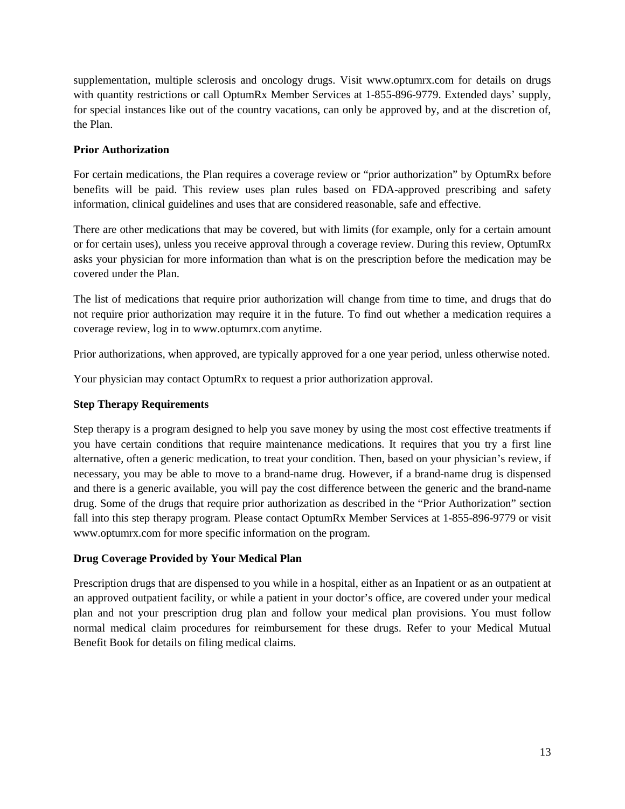supplementation, multiple sclerosis and oncology drugs. Visit www.optumrx.com for details on drugs with quantity restrictions or call OptumRx Member Services at 1-855-896-9779. Extended days' supply, for special instances like out of the country vacations, can only be approved by, and at the discretion of, the Plan.

# **Prior Authorization**

For certain medications, the Plan requires a coverage review or "prior authorization" by OptumRx before benefits will be paid. This review uses plan rules based on FDA-approved prescribing and safety information, clinical guidelines and uses that are considered reasonable, safe and effective.

There are other medications that may be covered, but with limits (for example, only for a certain amount or for certain uses), unless you receive approval through a coverage review. During this review, OptumRx asks your physician for more information than what is on the prescription before the medication may be covered under the Plan.

The list of medications that require prior authorization will change from time to time, and drugs that do not require prior authorization may require it in the future. To find out whether a medication requires a coverage review, log in to www.optumrx.com anytime.

Prior authorizations, when approved, are typically approved for a one year period, unless otherwise noted.

Your physician may contact OptumRx to request a prior authorization approval.

# **Step Therapy Requirements**

Step therapy is a program designed to help you save money by using the most cost effective treatments if you have certain conditions that require maintenance medications. It requires that you try a first line alternative, often a generic medication, to treat your condition. Then, based on your physician's review, if necessary, you may be able to move to a brand-name drug. However, if a brand-name drug is dispensed and there is a generic available, you will pay the cost difference between the generic and the brand-name drug. Some of the drugs that require prior authorization as described in the "Prior Authorization" section fall into this step therapy program. Please contact OptumRx Member Services at 1-855-896-9779 or visit www.optumrx.com for more specific information on the program.

# **Drug Coverage Provided by Your Medical Plan**

Prescription drugs that are dispensed to you while in a hospital, either as an Inpatient or as an outpatient at an approved outpatient facility, or while a patient in your doctor's office, are covered under your medical plan and not your prescription drug plan and follow your medical plan provisions. You must follow normal medical claim procedures for reimbursement for these drugs. Refer to your Medical Mutual Benefit Book for details on filing medical claims.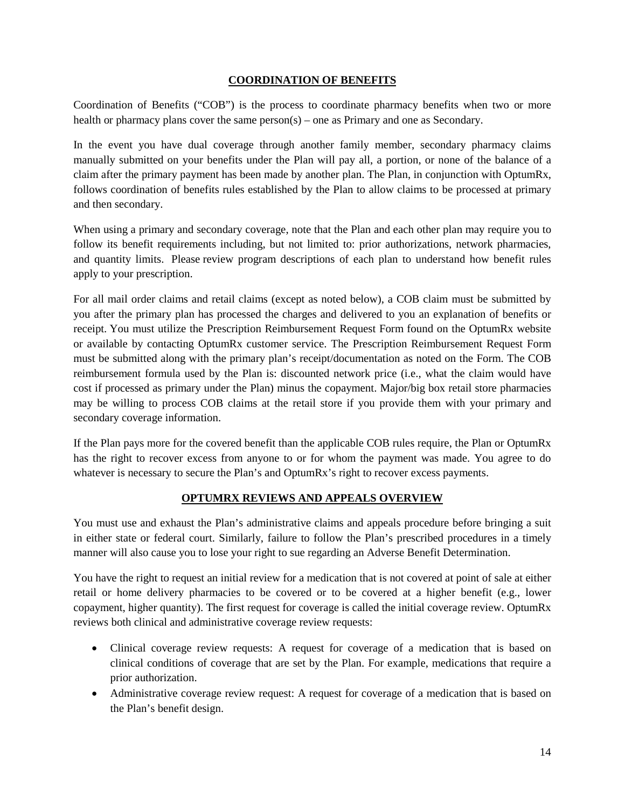## **COORDINATION OF BENEFITS**

Coordination of Benefits ("COB") is the process to coordinate pharmacy benefits when two or more health or pharmacy plans cover the same person(s) – one as Primary and one as Secondary.

In the event you have dual coverage through another family member, secondary pharmacy claims manually submitted on your benefits under the Plan will pay all, a portion, or none of the balance of a claim after the primary payment has been made by another plan. The Plan, in conjunction with OptumRx, follows coordination of benefits rules established by the Plan to allow claims to be processed at primary and then secondary.

When using a primary and secondary coverage, note that the Plan and each other plan may require you to follow its benefit requirements including, but not limited to: prior authorizations, network pharmacies, and quantity limits. Please review program descriptions of each plan to understand how benefit rules apply to your prescription.

For all mail order claims and retail claims (except as noted below), a COB claim must be submitted by you after the primary plan has processed the charges and delivered to you an explanation of benefits or receipt. You must utilize the Prescription Reimbursement Request Form found on the OptumRx website or available by contacting OptumRx customer service. The Prescription Reimbursement Request Form must be submitted along with the primary plan's receipt/documentation as noted on the Form. The COB reimbursement formula used by the Plan is: discounted network price (i.e., what the claim would have cost if processed as primary under the Plan) minus the copayment. Major/big box retail store pharmacies may be willing to process COB claims at the retail store if you provide them with your primary and secondary coverage information.

If the Plan pays more for the covered benefit than the applicable COB rules require, the Plan or OptumRx has the right to recover excess from anyone to or for whom the payment was made. You agree to do whatever is necessary to secure the Plan's and OptumRx's right to recover excess payments.

# **OPTUMRX REVIEWS AND APPEALS OVERVIEW**

You must use and exhaust the Plan's administrative claims and appeals procedure before bringing a suit in either state or federal court. Similarly, failure to follow the Plan's prescribed procedures in a timely manner will also cause you to lose your right to sue regarding an Adverse Benefit Determination.

You have the right to request an initial review for a medication that is not covered at point of sale at either retail or home delivery pharmacies to be covered or to be covered at a higher benefit (e.g., lower copayment, higher quantity). The first request for coverage is called the initial coverage review. OptumRx reviews both clinical and administrative coverage review requests:

- Clinical coverage review requests: A request for coverage of a medication that is based on clinical conditions of coverage that are set by the Plan. For example, medications that require a prior authorization.
- Administrative coverage review request: A request for coverage of a medication that is based on the Plan's benefit design.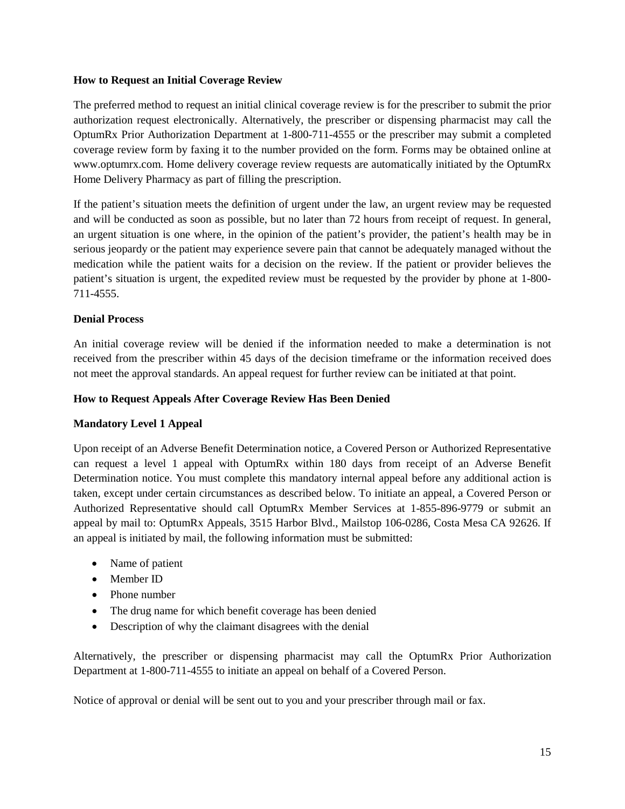## **How to Request an Initial Coverage Review**

The preferred method to request an initial clinical coverage review is for the prescriber to submit the prior authorization request electronically. Alternatively, the prescriber or dispensing pharmacist may call the OptumRx Prior Authorization Department at 1-800-711-4555 or the prescriber may submit a completed coverage review form by faxing it to the number provided on the form. Forms may be obtained online at www.optumrx.com. Home delivery coverage review requests are automatically initiated by the OptumRx Home Delivery Pharmacy as part of filling the prescription.

If the patient's situation meets the definition of urgent under the law, an urgent review may be requested and will be conducted as soon as possible, but no later than 72 hours from receipt of request. In general, an urgent situation is one where, in the opinion of the patient's provider, the patient's health may be in serious jeopardy or the patient may experience severe pain that cannot be adequately managed without the medication while the patient waits for a decision on the review. If the patient or provider believes the patient's situation is urgent, the expedited review must be requested by the provider by phone at 1-800- 711-4555.

# **Denial Process**

An initial coverage review will be denied if the information needed to make a determination is not received from the prescriber within 45 days of the decision timeframe or the information received does not meet the approval standards. An appeal request for further review can be initiated at that point.

## **How to Request Appeals After Coverage Review Has Been Denied**

# **Mandatory Level 1 Appeal**

Upon receipt of an Adverse Benefit Determination notice, a Covered Person or Authorized Representative can request a level 1 appeal with OptumRx within 180 days from receipt of an Adverse Benefit Determination notice. You must complete this mandatory internal appeal before any additional action is taken, except under certain circumstances as described below. To initiate an appeal, a Covered Person or Authorized Representative should call OptumRx Member Services at 1-855-896-9779 or submit an appeal by mail to: OptumRx Appeals, 3515 Harbor Blvd., Mailstop 106-0286, Costa Mesa CA 92626. If an appeal is initiated by mail, the following information must be submitted:

- Name of patient
- Member ID
- Phone number
- The drug name for which benefit coverage has been denied
- Description of why the claimant disagrees with the denial

Alternatively, the prescriber or dispensing pharmacist may call the OptumRx Prior Authorization Department at 1-800-711-4555 to initiate an appeal on behalf of a Covered Person.

Notice of approval or denial will be sent out to you and your prescriber through mail or fax.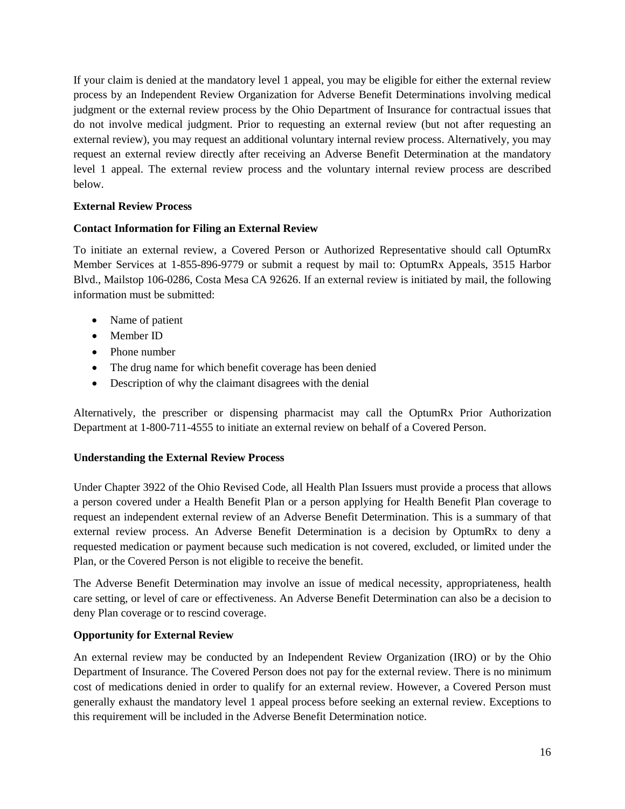If your claim is denied at the mandatory level 1 appeal, you may be eligible for either the external review process by an Independent Review Organization for Adverse Benefit Determinations involving medical judgment or the external review process by the Ohio Department of Insurance for contractual issues that do not involve medical judgment. Prior to requesting an external review (but not after requesting an external review), you may request an additional voluntary internal review process. Alternatively, you may request an external review directly after receiving an Adverse Benefit Determination at the mandatory level 1 appeal. The external review process and the voluntary internal review process are described below.

# **External Review Process**

# **Contact Information for Filing an External Review**

To initiate an external review, a Covered Person or Authorized Representative should call OptumRx Member Services at 1-855-896-9779 or submit a request by mail to: OptumRx Appeals, 3515 Harbor Blvd., Mailstop 106-0286, Costa Mesa CA 92626. If an external review is initiated by mail, the following information must be submitted:

- Name of patient
- Member ID
- Phone number
- The drug name for which benefit coverage has been denied
- Description of why the claimant disagrees with the denial

Alternatively, the prescriber or dispensing pharmacist may call the OptumRx Prior Authorization Department at 1-800-711-4555 to initiate an external review on behalf of a Covered Person.

## **Understanding the External Review Process**

Under Chapter 3922 of the Ohio Revised Code, all Health Plan Issuers must provide a process that allows a person covered under a Health Benefit Plan or a person applying for Health Benefit Plan coverage to request an independent external review of an Adverse Benefit Determination. This is a summary of that external review process. An Adverse Benefit Determination is a decision by OptumRx to deny a requested medication or payment because such medication is not covered, excluded, or limited under the Plan, or the Covered Person is not eligible to receive the benefit.

The Adverse Benefit Determination may involve an issue of medical necessity, appropriateness, health care setting, or level of care or effectiveness. An Adverse Benefit Determination can also be a decision to deny Plan coverage or to rescind coverage.

# **Opportunity for External Review**

An external review may be conducted by an Independent Review Organization (IRO) or by the Ohio Department of Insurance. The Covered Person does not pay for the external review. There is no minimum cost of medications denied in order to qualify for an external review. However, a Covered Person must generally exhaust the mandatory level 1 appeal process before seeking an external review. Exceptions to this requirement will be included in the Adverse Benefit Determination notice.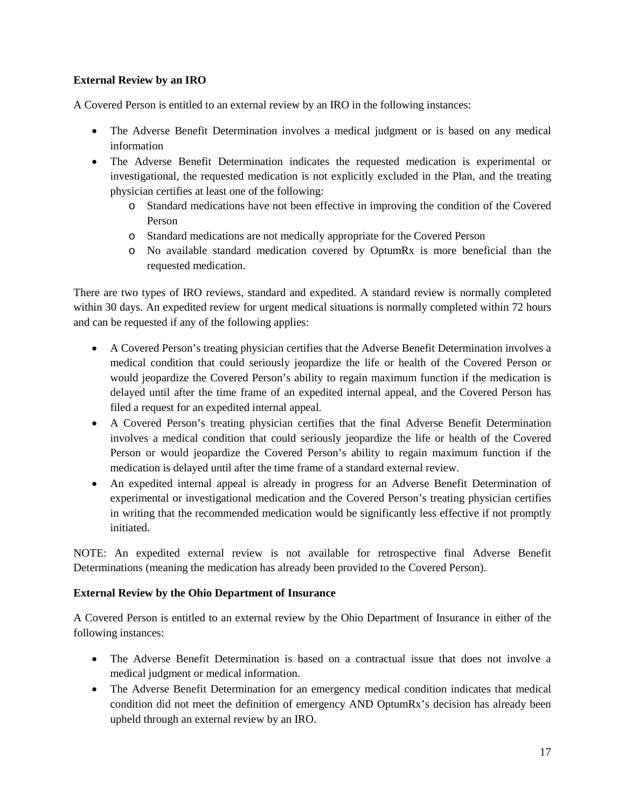# **External Review by an IRO**

A Covered Person is entitled to an external review by an IRO in the following instances:

- The Adverse Benefit Determination involves a medical judgment or is based on any medical information
- The Adverse Benefit Determination indicates the requested medication is experimental or investigational, the requested medication is not explicitly excluded in the Plan, and the treating physician certifies at least one of the following:
	- o Standard medications have not been effective in improving the condition of the Covered Person
	- o Standard medications are not medically appropriate for the Covered Person
	- o No available standard medication covered by OptumRx is more beneficial than the requested medication.

There are two types of IRO reviews, standard and expedited. A standard review is normally completed within 30 days. An expedited review for urgent medical situations is normally completed within 72 hours and can be requested if any of the following applies:

- A Covered Person's treating physician certifies that the Adverse Benefit Determination involves a medical condition that could seriously jeopardize the life or health of the Covered Person or would jeopardize the Covered Person's ability to regain maximum function if the medication is delayed until after the time frame of an expedited internal appeal, and the Covered Person has filed a request for an expedited internal appeal.
- A Covered Person's treating physician certifies that the final Adverse Benefit Determination involves a medical condition that could seriously jeopardize the life or health of the Covered Person or would jeopardize the Covered Person's ability to regain maximum function if the medication is delayed until after the time frame of a standard external review.
- An expedited internal appeal is already in progress for an Adverse Benefit Determination of experimental or investigational medication and the Covered Person's treating physician certifies in writing that the recommended medication would be significantly less effective if not promptly initiated.

NOTE: An expedited external review is not available for retrospective final Adverse Benefit Determinations (meaning the medication has already been provided to the Covered Person).

# **External Review by the Ohio Department of Insurance**

A Covered Person is entitled to an external review by the Ohio Department of Insurance in either of the following instances:

- The Adverse Benefit Determination is based on a contractual issue that does not involve a medical judgment or medical information.
- The Adverse Benefit Determination for an emergency medical condition indicates that medical condition did not meet the definition of emergency AND OptumRx's decision has already been upheld through an external review by an IRO.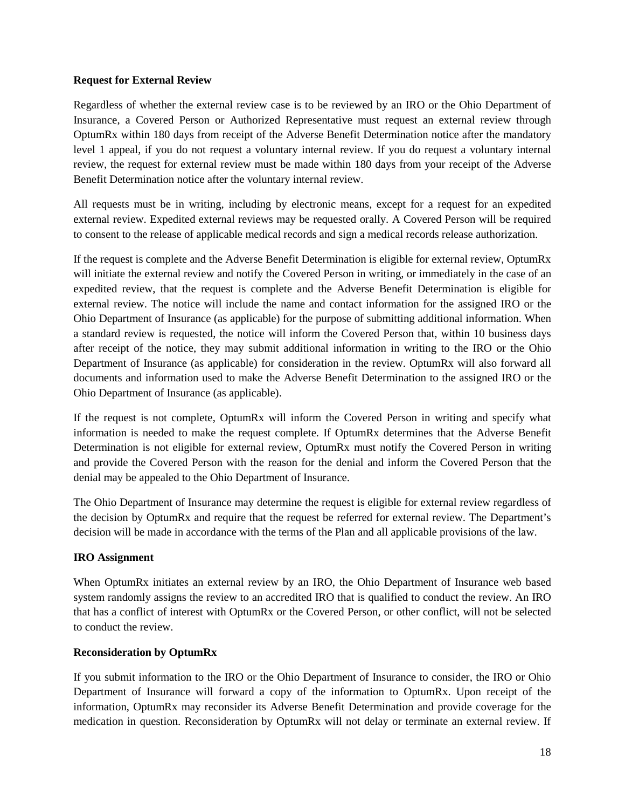## **Request for External Review**

Regardless of whether the external review case is to be reviewed by an IRO or the Ohio Department of Insurance, a Covered Person or Authorized Representative must request an external review through OptumRx within 180 days from receipt of the Adverse Benefit Determination notice after the mandatory level 1 appeal, if you do not request a voluntary internal review. If you do request a voluntary internal review, the request for external review must be made within 180 days from your receipt of the Adverse Benefit Determination notice after the voluntary internal review.

All requests must be in writing, including by electronic means, except for a request for an expedited external review. Expedited external reviews may be requested orally. A Covered Person will be required to consent to the release of applicable medical records and sign a medical records release authorization.

If the request is complete and the Adverse Benefit Determination is eligible for external review, OptumRx will initiate the external review and notify the Covered Person in writing, or immediately in the case of an expedited review, that the request is complete and the Adverse Benefit Determination is eligible for external review. The notice will include the name and contact information for the assigned IRO or the Ohio Department of Insurance (as applicable) for the purpose of submitting additional information. When a standard review is requested, the notice will inform the Covered Person that, within 10 business days after receipt of the notice, they may submit additional information in writing to the IRO or the Ohio Department of Insurance (as applicable) for consideration in the review. OptumRx will also forward all documents and information used to make the Adverse Benefit Determination to the assigned IRO or the Ohio Department of Insurance (as applicable).

If the request is not complete, OptumRx will inform the Covered Person in writing and specify what information is needed to make the request complete. If OptumRx determines that the Adverse Benefit Determination is not eligible for external review, OptumRx must notify the Covered Person in writing and provide the Covered Person with the reason for the denial and inform the Covered Person that the denial may be appealed to the Ohio Department of Insurance.

The Ohio Department of Insurance may determine the request is eligible for external review regardless of the decision by OptumRx and require that the request be referred for external review. The Department's decision will be made in accordance with the terms of the Plan and all applicable provisions of the law.

## **IRO Assignment**

When OptumRx initiates an external review by an IRO, the Ohio Department of Insurance web based system randomly assigns the review to an accredited IRO that is qualified to conduct the review. An IRO that has a conflict of interest with OptumRx or the Covered Person, or other conflict, will not be selected to conduct the review.

# **Reconsideration by OptumRx**

If you submit information to the IRO or the Ohio Department of Insurance to consider, the IRO or Ohio Department of Insurance will forward a copy of the information to OptumRx. Upon receipt of the information, OptumRx may reconsider its Adverse Benefit Determination and provide coverage for the medication in question. Reconsideration by OptumRx will not delay or terminate an external review. If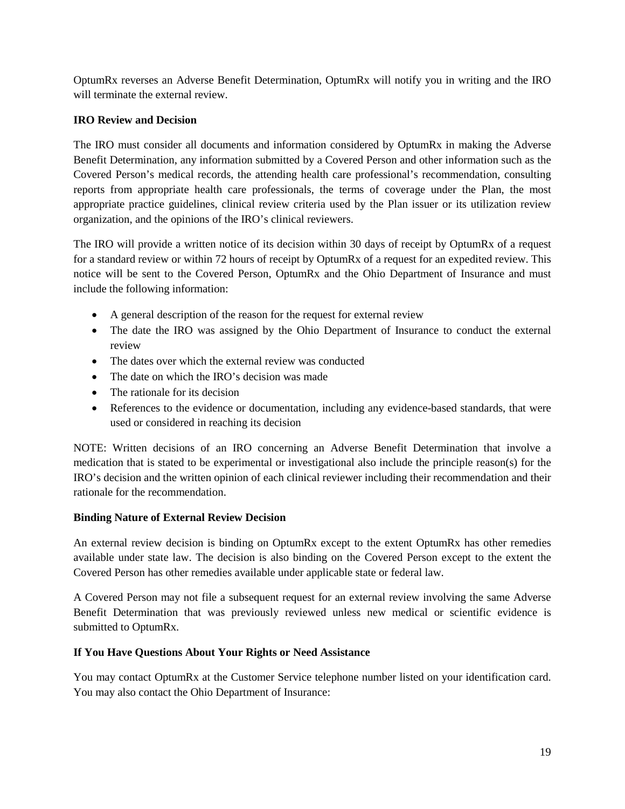OptumRx reverses an Adverse Benefit Determination, OptumRx will notify you in writing and the IRO will terminate the external review.

# **IRO Review and Decision**

The IRO must consider all documents and information considered by OptumRx in making the Adverse Benefit Determination, any information submitted by a Covered Person and other information such as the Covered Person's medical records, the attending health care professional's recommendation, consulting reports from appropriate health care professionals, the terms of coverage under the Plan, the most appropriate practice guidelines, clinical review criteria used by the Plan issuer or its utilization review organization, and the opinions of the IRO's clinical reviewers.

The IRO will provide a written notice of its decision within 30 days of receipt by OptumRx of a request for a standard review or within 72 hours of receipt by OptumRx of a request for an expedited review. This notice will be sent to the Covered Person, OptumRx and the Ohio Department of Insurance and must include the following information:

- A general description of the reason for the request for external review
- The date the IRO was assigned by the Ohio Department of Insurance to conduct the external review
- The dates over which the external review was conducted
- The date on which the IRO's decision was made
- The rationale for its decision
- References to the evidence or documentation, including any evidence-based standards, that were used or considered in reaching its decision

NOTE: Written decisions of an IRO concerning an Adverse Benefit Determination that involve a medication that is stated to be experimental or investigational also include the principle reason(s) for the IRO's decision and the written opinion of each clinical reviewer including their recommendation and their rationale for the recommendation.

# **Binding Nature of External Review Decision**

An external review decision is binding on OptumRx except to the extent OptumRx has other remedies available under state law. The decision is also binding on the Covered Person except to the extent the Covered Person has other remedies available under applicable state or federal law.

A Covered Person may not file a subsequent request for an external review involving the same Adverse Benefit Determination that was previously reviewed unless new medical or scientific evidence is submitted to OptumRx.

# **If You Have Questions About Your Rights or Need Assistance**

You may contact OptumRx at the Customer Service telephone number listed on your identification card. You may also contact the Ohio Department of Insurance: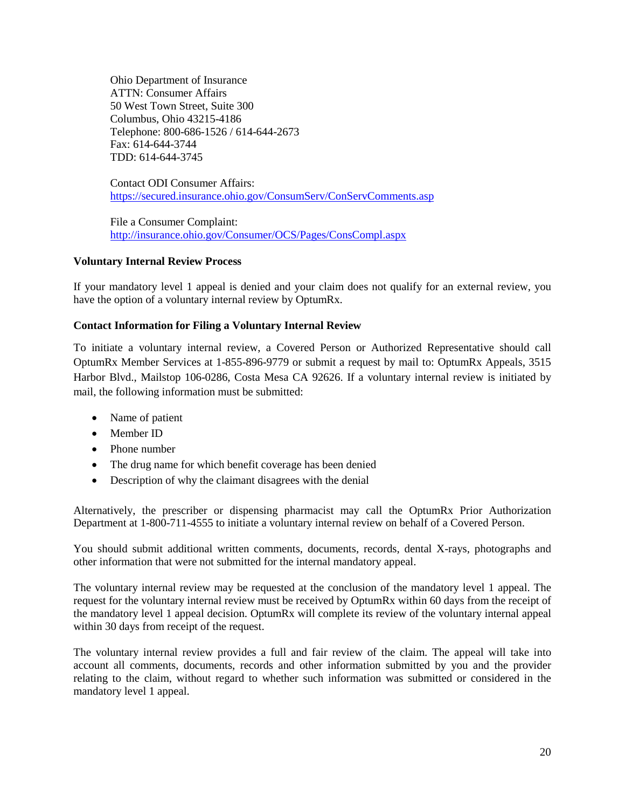Ohio Department of Insurance ATTN: Consumer Affairs 50 West Town Street, Suite 300 Columbus, Ohio 43215-4186 Telephone: 800-686-1526 / 614-644-2673 Fax: 614-644-3744 TDD: 614-644-3745

Contact ODI Consumer Affairs: <https://secured.insurance.ohio.gov/ConsumServ/ConServComments.asp>

File a Consumer Complaint: <http://insurance.ohio.gov/Consumer/OCS/Pages/ConsCompl.aspx>

# **Voluntary Internal Review Process**

If your mandatory level 1 appeal is denied and your claim does not qualify for an external review, you have the option of a voluntary internal review by OptumRx.

# **Contact Information for Filing a Voluntary Internal Review**

To initiate a voluntary internal review, a Covered Person or Authorized Representative should call OptumRx Member Services at 1-855-896-9779 or submit a request by mail to: OptumRx Appeals, 3515 Harbor Blvd., Mailstop 106-0286, Costa Mesa CA 92626. If a voluntary internal review is initiated by mail, the following information must be submitted:

- Name of patient
- Member ID
- Phone number
- The drug name for which benefit coverage has been denied
- Description of why the claimant disagrees with the denial

Alternatively, the prescriber or dispensing pharmacist may call the OptumRx Prior Authorization Department at 1-800-711-4555 to initiate a voluntary internal review on behalf of a Covered Person.

You should submit additional written comments, documents, records, dental X-rays, photographs and other information that were not submitted for the internal mandatory appeal.

The voluntary internal review may be requested at the conclusion of the mandatory level 1 appeal. The request for the voluntary internal review must be received by OptumRx within 60 days from the receipt of the mandatory level 1 appeal decision. OptumRx will complete its review of the voluntary internal appeal within 30 days from receipt of the request.

The voluntary internal review provides a full and fair review of the claim. The appeal will take into account all comments, documents, records and other information submitted by you and the provider relating to the claim, without regard to whether such information was submitted or considered in the mandatory level 1 appeal.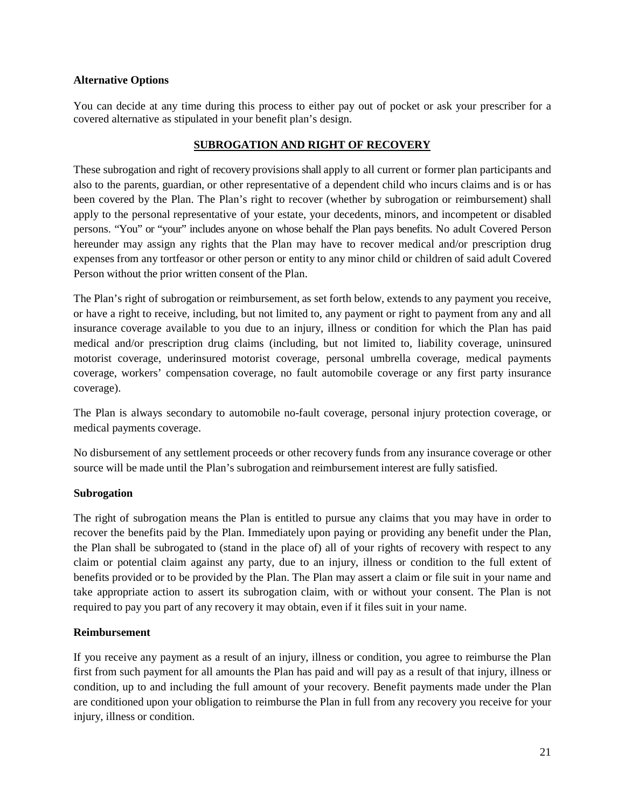## **Alternative Options**

You can decide at any time during this process to either pay out of pocket or ask your prescriber for a covered alternative as stipulated in your benefit plan's design.

# **SUBROGATION AND RIGHT OF RECOVERY**

These subrogation and right of recovery provisions shall apply to all current or former plan participants and also to the parents, guardian, or other representative of a dependent child who incurs claims and is or has been covered by the Plan. The Plan's right to recover (whether by subrogation or reimbursement) shall apply to the personal representative of your estate, your decedents, minors, and incompetent or disabled persons. "You" or "your" includes anyone on whose behalf the Plan pays benefits. No adult Covered Person hereunder may assign any rights that the Plan may have to recover medical and/or prescription drug expenses from any tortfeasor or other person or entity to any minor child or children of said adult Covered Person without the prior written consent of the Plan.

The Plan's right of subrogation or reimbursement, as set forth below, extends to any payment you receive, or have a right to receive, including, but not limited to, any payment or right to payment from any and all insurance coverage available to you due to an injury, illness or condition for which the Plan has paid medical and/or prescription drug claims (including, but not limited to, liability coverage, uninsured motorist coverage, underinsured motorist coverage, personal umbrella coverage, medical payments coverage, workers' compensation coverage, no fault automobile coverage or any first party insurance coverage).

The Plan is always secondary to automobile no-fault coverage, personal injury protection coverage, or medical payments coverage.

No disbursement of any settlement proceeds or other recovery funds from any insurance coverage or other source will be made until the Plan's subrogation and reimbursement interest are fully satisfied.

## **Subrogation**

The right of subrogation means the Plan is entitled to pursue any claims that you may have in order to recover the benefits paid by the Plan. Immediately upon paying or providing any benefit under the Plan, the Plan shall be subrogated to (stand in the place of) all of your rights of recovery with respect to any claim or potential claim against any party, due to an injury, illness or condition to the full extent of benefits provided or to be provided by the Plan. The Plan may assert a claim or file suit in your name and take appropriate action to assert its subrogation claim, with or without your consent. The Plan is not required to pay you part of any recovery it may obtain, even if it files suit in your name.

# **Reimbursement**

If you receive any payment as a result of an injury, illness or condition, you agree to reimburse the Plan first from such payment for all amounts the Plan has paid and will pay as a result of that injury, illness or condition, up to and including the full amount of your recovery. Benefit payments made under the Plan are conditioned upon your obligation to reimburse the Plan in full from any recovery you receive for your injury, illness or condition.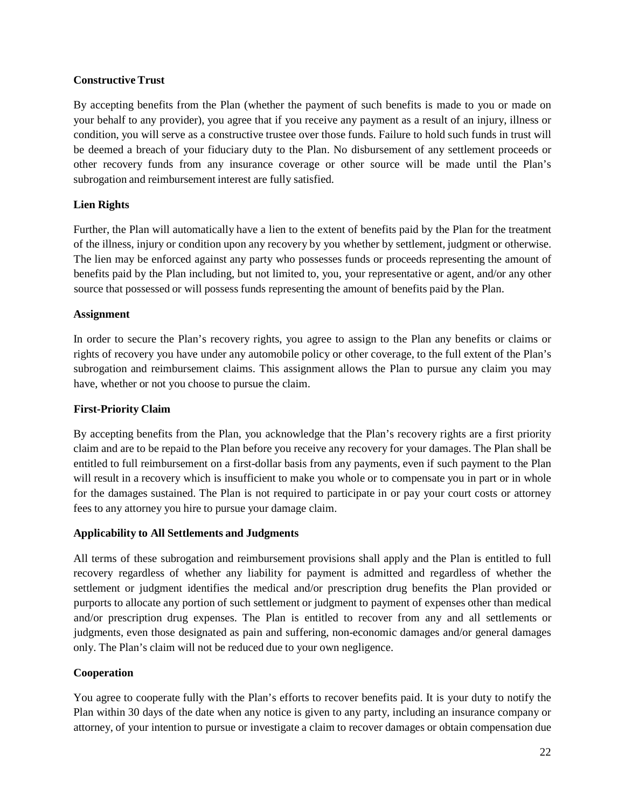# **Constructive Trust**

By accepting benefits from the Plan (whether the payment of such benefits is made to you or made on your behalf to any provider), you agree that if you receive any payment as a result of an injury, illness or condition, you will serve as a constructive trustee over those funds. Failure to hold such funds in trust will be deemed a breach of your fiduciary duty to the Plan. No disbursement of any settlement proceeds or other recovery funds from any insurance coverage or other source will be made until the Plan's subrogation and reimbursement interest are fully satisfied.

# **Lien Rights**

Further, the Plan will automatically have a lien to the extent of benefits paid by the Plan for the treatment of the illness, injury or condition upon any recovery by you whether by settlement, judgment or otherwise. The lien may be enforced against any party who possesses funds or proceeds representing the amount of benefits paid by the Plan including, but not limited to, you, your representative or agent, and/or any other source that possessed or will possess funds representing the amount of benefits paid by the Plan.

## **Assignment**

In order to secure the Plan's recovery rights, you agree to assign to the Plan any benefits or claims or rights of recovery you have under any automobile policy or other coverage, to the full extent of the Plan's subrogation and reimbursement claims. This assignment allows the Plan to pursue any claim you may have, whether or not you choose to pursue the claim.

## **First-Priority Claim**

By accepting benefits from the Plan, you acknowledge that the Plan's recovery rights are a first priority claim and are to be repaid to the Plan before you receive any recovery for your damages. The Plan shall be entitled to full reimbursement on a first-dollar basis from any payments, even if such payment to the Plan will result in a recovery which is insufficient to make you whole or to compensate you in part or in whole for the damages sustained. The Plan is not required to participate in or pay your court costs or attorney fees to any attorney you hire to pursue your damage claim.

## **Applicability to All Settlements and Judgments**

All terms of these subrogation and reimbursement provisions shall apply and the Plan is entitled to full recovery regardless of whether any liability for payment is admitted and regardless of whether the settlement or judgment identifies the medical and/or prescription drug benefits the Plan provided or purports to allocate any portion of such settlement or judgment to payment of expenses other than medical and/or prescription drug expenses. The Plan is entitled to recover from any and all settlements or judgments, even those designated as pain and suffering, non-economic damages and/or general damages only. The Plan's claim will not be reduced due to your own negligence.

# **Cooperation**

You agree to cooperate fully with the Plan's efforts to recover benefits paid. It is your duty to notify the Plan within 30 days of the date when any notice is given to any party, including an insurance company or attorney, of your intention to pursue or investigate a claim to recover damages or obtain compensation due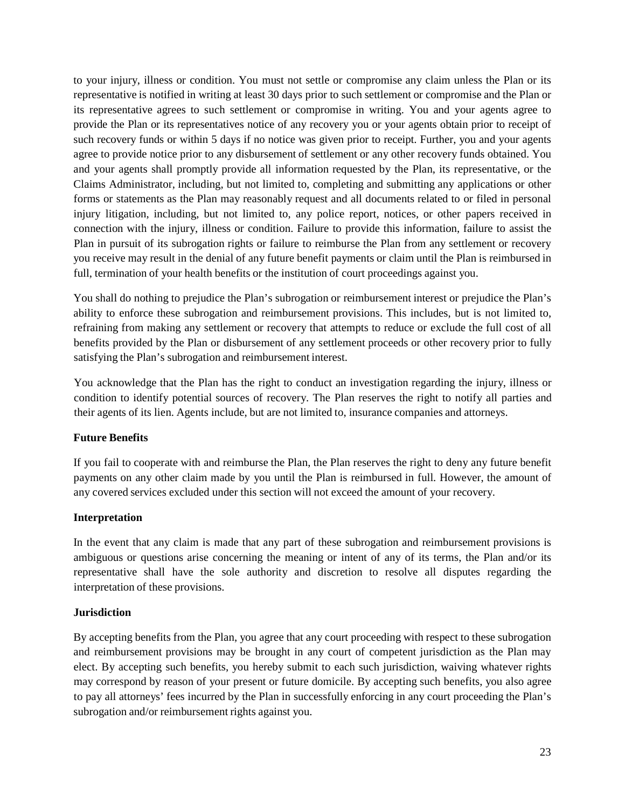to your injury, illness or condition. You must not settle or compromise any claim unless the Plan or its representative is notified in writing at least 30 days prior to such settlement or compromise and the Plan or its representative agrees to such settlement or compromise in writing. You and your agents agree to provide the Plan or its representatives notice of any recovery you or your agents obtain prior to receipt of such recovery funds or within 5 days if no notice was given prior to receipt. Further, you and your agents agree to provide notice prior to any disbursement of settlement or any other recovery funds obtained. You and your agents shall promptly provide all information requested by the Plan, its representative, or the Claims Administrator, including, but not limited to, completing and submitting any applications or other forms or statements as the Plan may reasonably request and all documents related to or filed in personal injury litigation, including, but not limited to, any police report, notices, or other papers received in connection with the injury, illness or condition. Failure to provide this information, failure to assist the Plan in pursuit of its subrogation rights or failure to reimburse the Plan from any settlement or recovery you receive may result in the denial of any future benefit payments or claim until the Plan is reimbursed in full, termination of your health benefits or the institution of court proceedings against you.

You shall do nothing to prejudice the Plan's subrogation or reimbursement interest or prejudice the Plan's ability to enforce these subrogation and reimbursement provisions. This includes, but is not limited to, refraining from making any settlement or recovery that attempts to reduce or exclude the full cost of all benefits provided by the Plan or disbursement of any settlement proceeds or other recovery prior to fully satisfying the Plan's subrogation and reimbursement interest.

You acknowledge that the Plan has the right to conduct an investigation regarding the injury, illness or condition to identify potential sources of recovery. The Plan reserves the right to notify all parties and their agents of its lien. Agents include, but are not limited to, insurance companies and attorneys.

# **Future Benefits**

If you fail to cooperate with and reimburse the Plan, the Plan reserves the right to deny any future benefit payments on any other claim made by you until the Plan is reimbursed in full. However, the amount of any covered services excluded under this section will not exceed the amount of your recovery.

# **Interpretation**

In the event that any claim is made that any part of these subrogation and reimbursement provisions is ambiguous or questions arise concerning the meaning or intent of any of its terms, the Plan and/or its representative shall have the sole authority and discretion to resolve all disputes regarding the interpretation of these provisions.

# **Jurisdiction**

By accepting benefits from the Plan, you agree that any court proceeding with respect to these subrogation and reimbursement provisions may be brought in any court of competent jurisdiction as the Plan may elect. By accepting such benefits, you hereby submit to each such jurisdiction, waiving whatever rights may correspond by reason of your present or future domicile. By accepting such benefits, you also agree to pay all attorneys' fees incurred by the Plan in successfully enforcing in any court proceeding the Plan's subrogation and/or reimbursement rights against you.